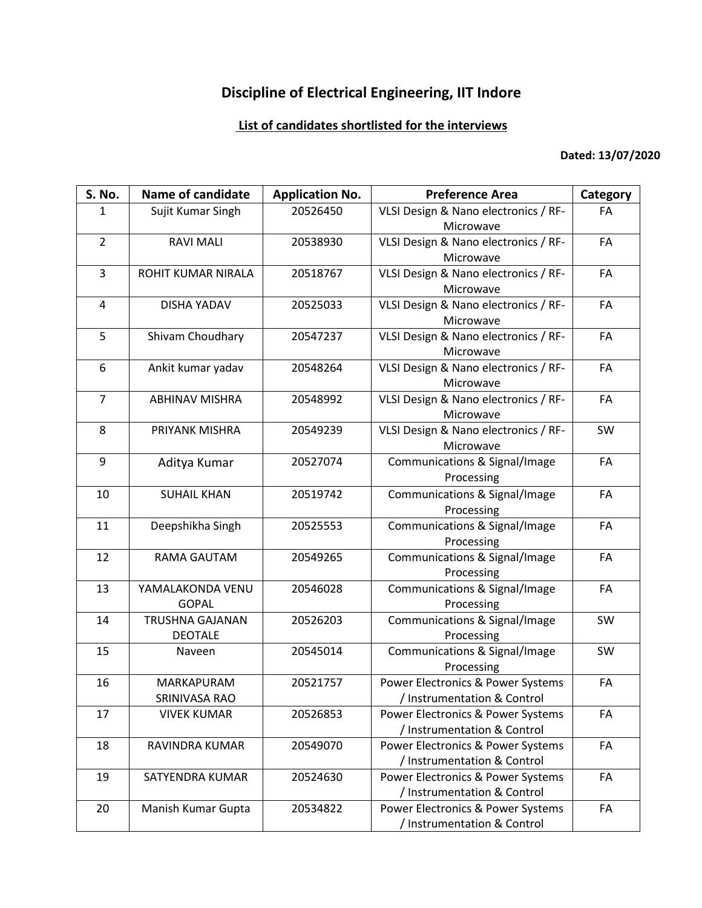## **Discipline of Electrical Engineering, IIT Indore**

## **List of candidates shortlisted for the interviews**

## **Dated: 13/07/2020**

| S. No.         | <b>Name of candidate</b> | <b>Application No.</b> | <b>Preference Area</b>               | Category |
|----------------|--------------------------|------------------------|--------------------------------------|----------|
| $\mathbf{1}$   | Sujit Kumar Singh        | 20526450               | VLSI Design & Nano electronics / RF- | FA       |
|                |                          |                        | Microwave                            |          |
| $\overline{2}$ | <b>RAVI MALI</b>         | 20538930               | VLSI Design & Nano electronics / RF- | FA       |
|                |                          |                        | Microwave                            |          |
| 3              | ROHIT KUMAR NIRALA       | 20518767               | VLSI Design & Nano electronics / RF- | FA       |
|                |                          |                        | Microwave                            |          |
| 4              | <b>DISHA YADAV</b>       | 20525033               | VLSI Design & Nano electronics / RF- | FA       |
|                |                          |                        | Microwave                            |          |
| 5              | Shivam Choudhary         | 20547237               | VLSI Design & Nano electronics / RF- | FA       |
|                |                          |                        | Microwave                            |          |
| 6              | Ankit kumar yadav        | 20548264               | VLSI Design & Nano electronics / RF- | FA       |
|                |                          |                        | Microwave                            |          |
| $\overline{7}$ | <b>ABHINAV MISHRA</b>    | 20548992               | VLSI Design & Nano electronics / RF- | FA       |
|                |                          |                        | Microwave                            |          |
| 8              | PRIYANK MISHRA           | 20549239               | VLSI Design & Nano electronics / RF- | SW       |
|                |                          |                        | Microwave                            |          |
| 9              | Aditya Kumar             | 20527074               | Communications & Signal/Image        | FA       |
|                |                          |                        | Processing                           |          |
| 10             | <b>SUHAIL KHAN</b>       | 20519742               | Communications & Signal/Image        | FA       |
|                |                          |                        | Processing                           |          |
| 11             | Deepshikha Singh         | 20525553               | Communications & Signal/Image        | FA       |
|                |                          |                        | Processing                           |          |
| 12             | <b>RAMA GAUTAM</b>       | 20549265               | Communications & Signal/Image        | FA       |
|                |                          |                        | Processing                           |          |
| 13             | YAMALAKONDA VENU         | 20546028               | Communications & Signal/Image        | FA       |
|                | <b>GOPAL</b>             |                        | Processing                           |          |
| 14             | <b>TRUSHNA GAJANAN</b>   | 20526203               | Communications & Signal/Image        | SW       |
|                | <b>DEOTALE</b>           |                        | Processing                           |          |
| 15             | Naveen                   | 20545014               | Communications & Signal/Image        | SW       |
|                |                          |                        | Processing                           |          |
| 16             | MARKAPURAM               | 20521757               | Power Electronics & Power Systems    | FA       |
|                | SRINIVASA RAO            |                        | / Instrumentation & Control          |          |
| 17             | <b>VIVEK KUMAR</b>       | 20526853               | Power Electronics & Power Systems    | FA       |
|                |                          |                        | / Instrumentation & Control          |          |
| 18             | RAVINDRA KUMAR           | 20549070               | Power Electronics & Power Systems    | FA       |
|                |                          |                        | / Instrumentation & Control          |          |
| 19             | SATYENDRA KUMAR          | 20524630               | Power Electronics & Power Systems    | FA       |
|                |                          |                        | / Instrumentation & Control          |          |
| 20             | Manish Kumar Gupta       | 20534822               | Power Electronics & Power Systems    | FA       |
|                |                          |                        | / Instrumentation & Control          |          |